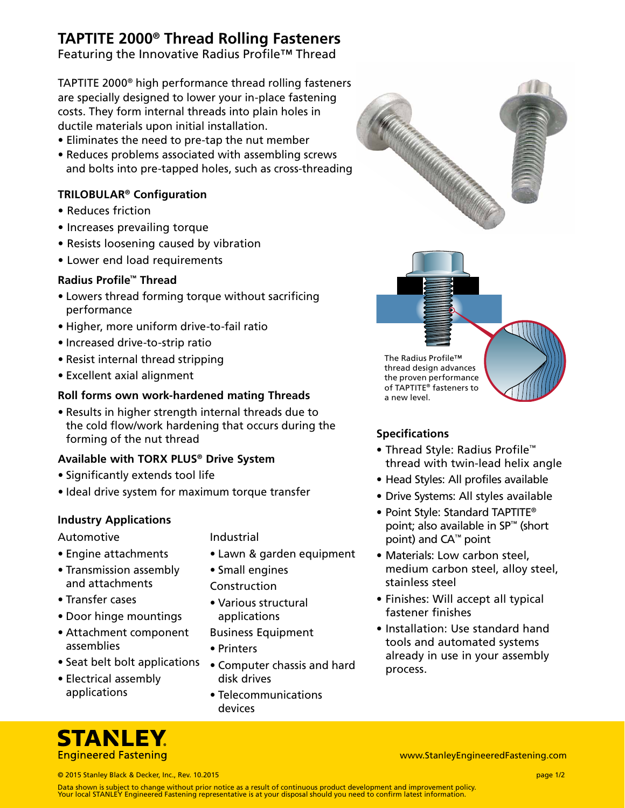## **TAPTITE 2000® Thread Rolling Fasteners**

Featuring the Innovative Radius Profile™ Thread

TAPTITE 2000® high performance thread rolling fasteners are specially designed to lower your in-place fastening costs. They form internal threads into plain holes in ductile materials upon initial installation.

- Eliminates the need to pre-tap the nut member
- Reduces problems associated with assembling screws and bolts into pre-tapped holes, such as cross-threading

## **TRILOBULAR® Configuration**

- Reduces friction
- Increases prevailing torque
- Resists loosening caused by vibration
- Lower end load requirements

## **Radius Profile™ Thread**

- Lowers thread forming torque without sacrificing performance
- Higher, more uniform drive-to-fail ratio
- Increased drive-to-strip ratio
- Resist internal thread stripping
- Excellent axial alignment

## **Roll forms own work-hardened mating Threads**

• Results in higher strength internal threads due to the cold flow/work hardening that occurs during the forming of the nut thread

### **Available with TORX PLUS® Drive System**

- Significantly extends tool life
- Ideal drive system for maximum torque transfer

## **Industry Applications**

- Automotive
- Engine attachments
- Transmission assembly and attachments
- Transfer cases
- Door hinge mountings
- Attachment component assemblies
- Seat belt bolt applications
- Electrical assembly applications

## Industrial

- Lawn & garden equipment
- Small engines
- Construction
- Various structural applications
- Business Equipment
- Printers
- Computer chassis and hard disk drives
- Telecommunications devices





thread design advances the proven performance of TAPTITE® fasteners to a new level.

## **Specifications**

- Thread Style: Radius Profile™ thread with twin‑lead helix angle
- Head Styles: All profiles available
- Drive Systems: All styles available
- Point Style: Standard TAPTITE® point; also available in SP™ (short point) and CA™ point
- Materials: Low carbon steel, medium carbon steel, alloy steel, stainless steel
- Finishes: Will accept all typical fastener finishes
- Installation: Use standard hand tools and automated systems already in use in your assembly process.

**STANLEY Engineered Fastening** 

www.StanleyEngineeredFastening.com

© 2015 Stanley Black & Decker, Inc., Rev. 10.2015 page 1/2

Data shown is subject to change without prior notice as a result of continuous product development and improvement policy. Your local STANLEY Engineered Fastening representative is at your disposal should you need to confirm latest information.